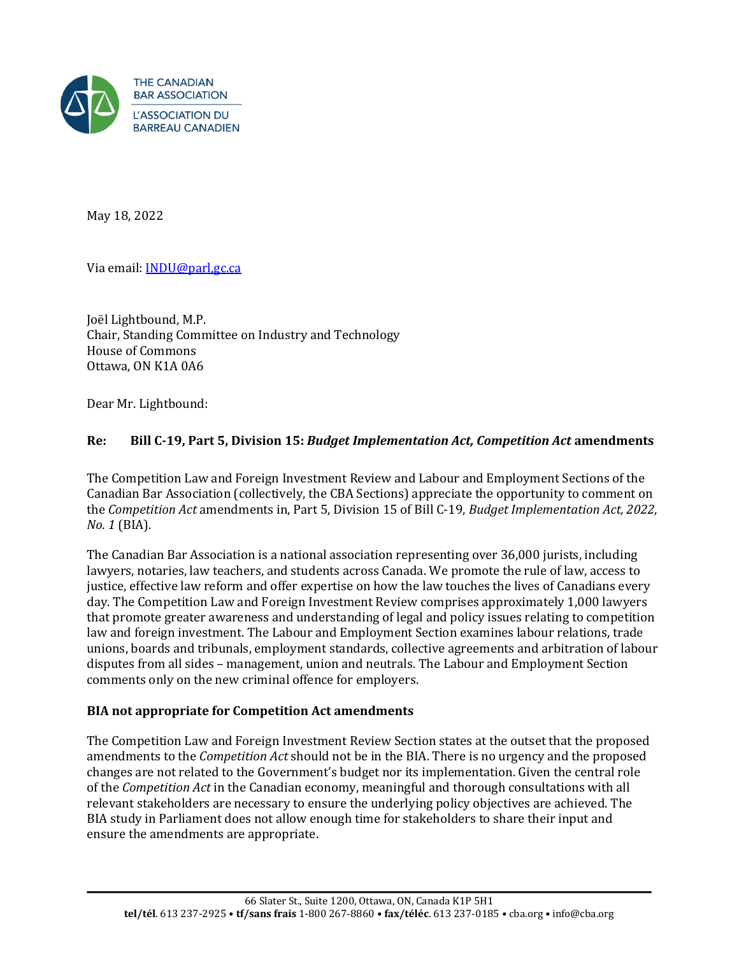

May 18, 2022

Via email: [INDU@parl,gc.ca](mailto:INDU@parl,gc.ca)

Joël Lightbound, M.P. Chair, Standing Committee on Industry and Technology House of Commons Ottawa, ON K1A 0A6

Dear Mr. Lightbound:

# **Re: Bill C-19, Part 5, Division 15:** *Budget Implementation Act, Competition Act* **amendments**

The Competition Law and Foreign Investment Review and Labour and Employment Sections of the Canadian Bar Association (collectively, the CBA Sections) appreciate the opportunity to comment on the *Competition Act* amendments in, Part 5, Division 15 of Bill C-19, *Budget Implementation Act, 2022, No. 1* (BIA).

The Canadian Bar Association is a national association representing over 36,000 jurists, including lawyers, notaries, law teachers, and students across Canada. We promote the rule of law, access to justice, effective law reform and offer expertise on how the law touches the lives of Canadians every day. The Competition Law and Foreign Investment Review comprises approximately 1,000 lawyers that promote greater awareness and understanding of legal and policy issues relating to competition law and foreign investment. The Labour and Employment Section examines labour relations, trade unions, boards and tribunals, employment standards, collective agreements and arbitration of labour disputes from all sides – management, union and neutrals. The Labour and Employment Section comments only on the new criminal offence for employers.

## **BIA not appropriate for Competition Act amendments**

The Competition Law and Foreign Investment Review Section states at the outset that the proposed amendments to the *Competition Act* should not be in the BIA. There is no urgency and the proposed changes are not related to the Government's budget nor its implementation. Given the central role of the *Competition Act* in the Canadian economy, meaningful and thorough consultations with all relevant stakeholders are necessary to ensure the underlying policy objectives are achieved. The BIA study in Parliament does not allow enough time for stakeholders to share their input and ensure the amendments are appropriate.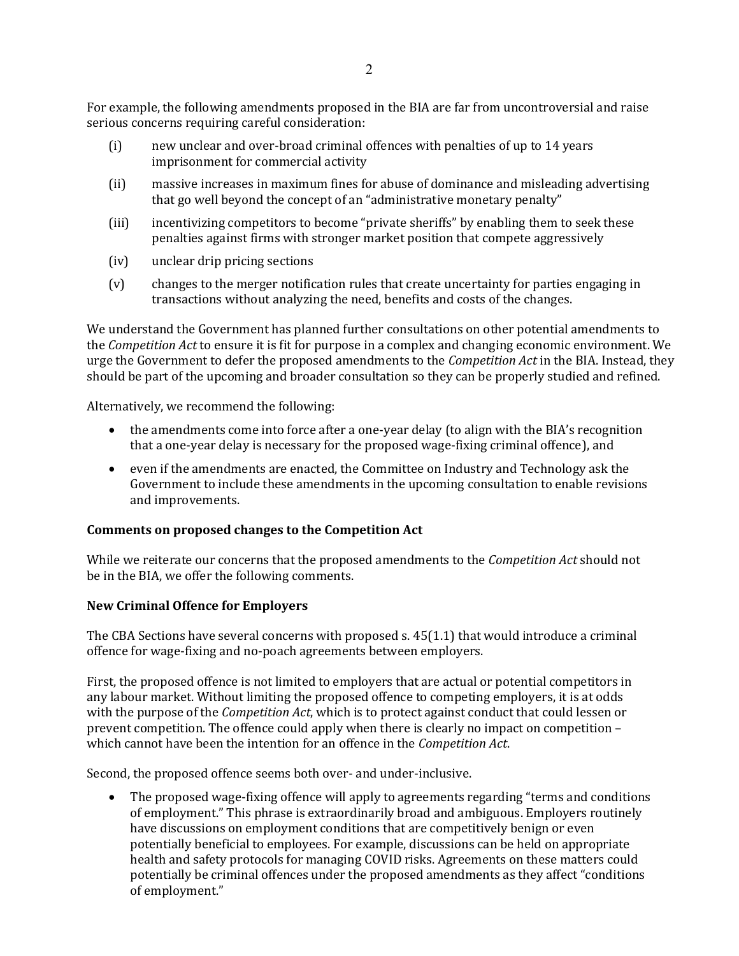For example, the following amendments proposed in the BIA are far from uncontroversial and raise serious concerns requiring careful consideration:

- (i) new unclear and over-broad criminal offences with penalties of up to 14 years imprisonment for commercial activity
- (ii) massive increases in maximum fines for abuse of dominance and misleading advertising that go well beyond the concept of an "administrative monetary penalty"
- (iii) incentivizing competitors to become "private sheriffs" by enabling them to seek these penalties against firms with stronger market position that compete aggressively
- (iv) unclear drip pricing sections
- (v) changes to the merger notification rules that create uncertainty for parties engaging in transactions without analyzing the need, benefits and costs of the changes.

We understand the Government has planned further consultations on other potential amendments to the *Competition Act* to ensure it is fit for purpose in a complex and changing economic environment. We urge the Government to defer the proposed amendments to the *Competition Act* in the BIA. Instead, they should be part of the upcoming and broader consultation so they can be properly studied and refined.

Alternatively, we recommend the following:

- the amendments come into force after a one-year delay (to align with the BIA's recognition that a one-year delay is necessary for the proposed wage-fixing criminal offence), and
- even if the amendments are enacted, the Committee on Industry and Technology ask the Government to include these amendments in the upcoming consultation to enable revisions and improvements.

#### **Comments on proposed changes to the Competition Act**

While we reiterate our concerns that the proposed amendments to the *Competition Act* should not be in the BIA, we offer the following comments.

#### **New Criminal Offence for Employers**

The CBA Sections have several concerns with proposed s. 45(1.1) that would introduce a criminal offence for wage-fixing and no-poach agreements between employers.

First, the proposed offence is not limited to employers that are actual or potential competitors in any labour market. Without limiting the proposed offence to competing employers, it is at odds with the purpose of the *Competition Act*, which is to protect against conduct that could lessen or prevent competition. The offence could apply when there is clearly no impact on competition – which cannot have been the intention for an offence in the *Competition Act*.

Second, the proposed offence seems both over- and under-inclusive.

• The proposed wage-fixing offence will apply to agreements regarding "terms and conditions" of employment." This phrase is extraordinarily broad and ambiguous. Employers routinely have discussions on employment conditions that are competitively benign or even potentially beneficial to employees. For example, discussions can be held on appropriate health and safety protocols for managing COVID risks. Agreements on these matters could potentially be criminal offences under the proposed amendments as they affect "conditions of employment."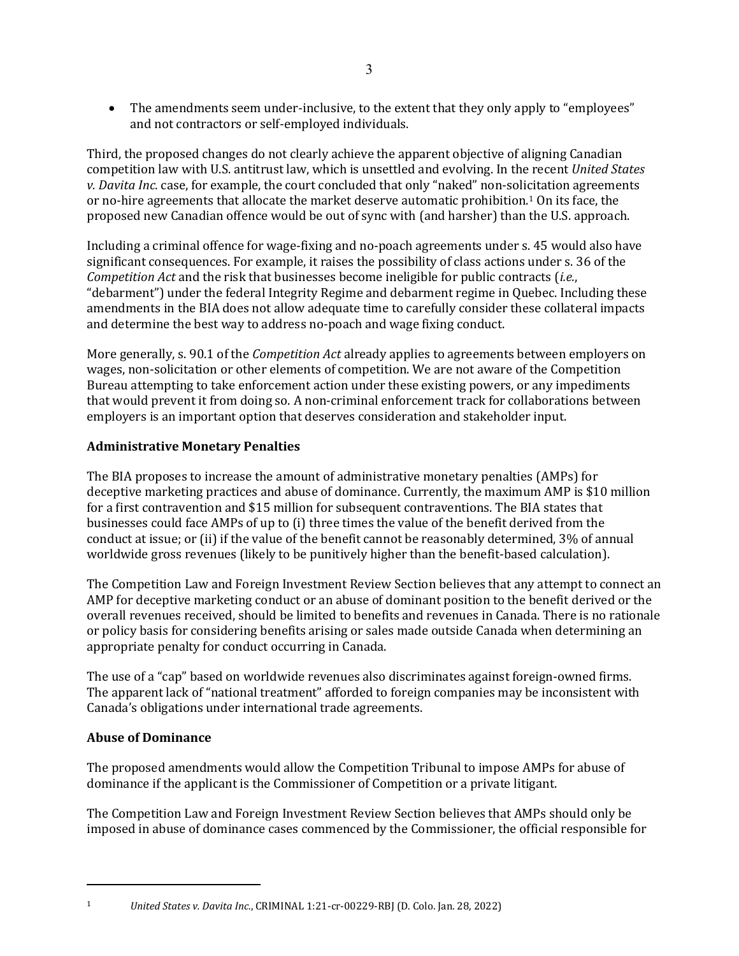• The amendments seem under-inclusive, to the extent that they only apply to "employees" and not contractors or self-employed individuals.

3

Third, the proposed changes do not clearly achieve the apparent objective of aligning Canadian competition law with U.S. antitrust law, which is unsettled and evolving. In the recent *United States v. Davita Inc.* case, for example, the court concluded that only "naked" non-solicitation agreements or no-hire agreements that allocate the market deserve automatic prohibition.<sup>1</sup> On its face, the proposed new Canadian offence would be out of sync with (and harsher) than the U.S. approach.

Including a criminal offence for wage-fixing and no-poach agreements under s. 45 would also have significant consequences. For example, it raises the possibility of class actions under s. 36 of the *Competition Act* and the risk that businesses become ineligible for public contracts (*i.e.*, "debarment") under the federal Integrity Regime and debarment regime in Quebec. Including these amendments in the BIA does not allow adequate time to carefully consider these collateral impacts and determine the best way to address no-poach and wage fixing conduct.

More generally, s. 90.1 of the *Competition Act* already applies to agreements between employers on wages, non-solicitation or other elements of competition. We are not aware of the Competition Bureau attempting to take enforcement action under these existing powers, or any impediments that would prevent it from doing so. A non-criminal enforcement track for collaborations between employers is an important option that deserves consideration and stakeholder input.

## **Administrative Monetary Penalties**

The BIA proposes to increase the amount of administrative monetary penalties (AMPs) for deceptive marketing practices and abuse of dominance. Currently, the maximum AMP is \$10 million for a first contravention and \$15 million for subsequent contraventions. The BIA states that businesses could face AMPs of up to (i) three times the value of the benefit derived from the conduct at issue; or (ii) if the value of the benefit cannot be reasonably determined, 3% of annual worldwide gross revenues (likely to be punitively higher than the benefit-based calculation).

The Competition Law and Foreign Investment Review Section believes that any attempt to connect an AMP for deceptive marketing conduct or an abuse of dominant position to the benefit derived or the overall revenues received, should be limited to benefits and revenues in Canada. There is no rationale or policy basis for considering benefits arising or sales made outside Canada when determining an appropriate penalty for conduct occurring in Canada.

The use of a "cap" based on worldwide revenues also discriminates against foreign-owned firms. The apparent lack of "national treatment" afforded to foreign companies may be inconsistent with Canada's obligations under international trade agreements.

## **Abuse of Dominance**

The proposed amendments would allow the Competition Tribunal to impose AMPs for abuse of dominance if the applicant is the Commissioner of Competition or a private litigant.

The Competition Law and Foreign Investment Review Section believes that AMPs should only be imposed in abuse of dominance cases commenced by the Commissioner, the official responsible for

<sup>1</sup> *United States v. Davita Inc*., CRIMINAL 1:21-cr-00229-RBJ (D. Colo. Jan. 28, 2022)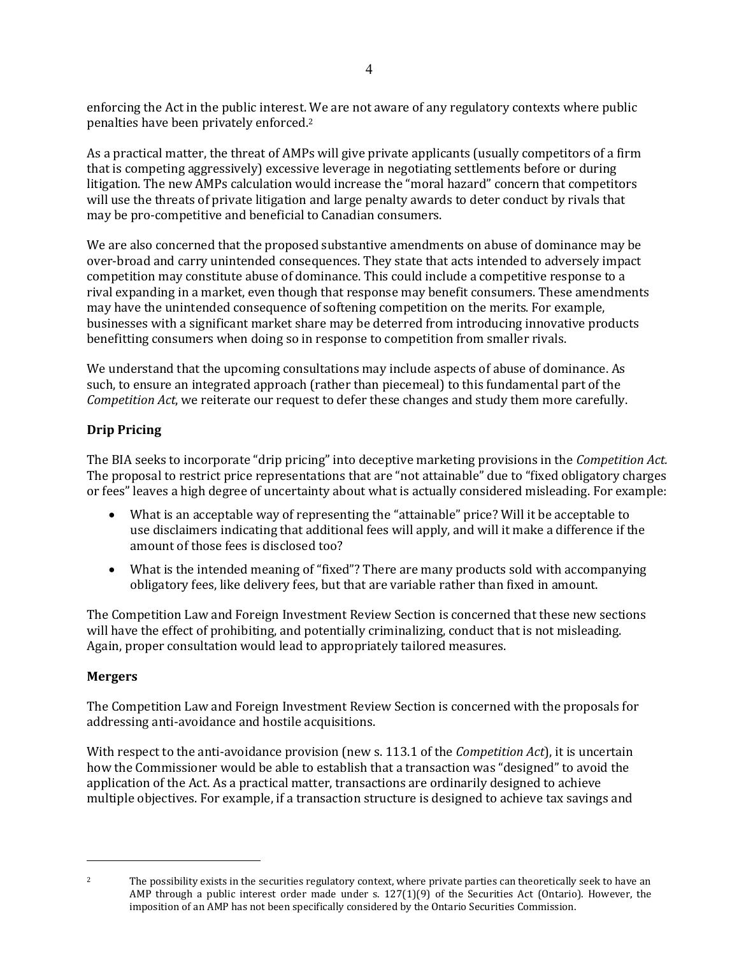enforcing the Act in the public interest. We are not aware of any regulatory contexts where public penalties have been privately enforced.<sup>2</sup>

As a practical matter, the threat of AMPs will give private applicants (usually competitors of a firm that is competing aggressively) excessive leverage in negotiating settlements before or during litigation. The new AMPs calculation would increase the "moral hazard" concern that competitors will use the threats of private litigation and large penalty awards to deter conduct by rivals that may be pro-competitive and beneficial to Canadian consumers.

We are also concerned that the proposed substantive amendments on abuse of dominance may be over-broad and carry unintended consequences. They state that acts intended to adversely impact competition may constitute abuse of dominance. This could include a competitive response to a rival expanding in a market, even though that response may benefit consumers. These amendments may have the unintended consequence of softening competition on the merits. For example, businesses with a significant market share may be deterred from introducing innovative products benefitting consumers when doing so in response to competition from smaller rivals.

We understand that the upcoming consultations may include aspects of abuse of dominance. As such, to ensure an integrated approach (rather than piecemeal) to this fundamental part of the *Competition Act*, we reiterate our request to defer these changes and study them more carefully.

# **Drip Pricing**

The BIA seeks to incorporate "drip pricing" into deceptive marketing provisions in the *Competition Act.* The proposal to restrict price representations that are "not attainable" due to "fixed obligatory charges or fees" leaves a high degree of uncertainty about what is actually considered misleading. For example:

- What is an acceptable way of representing the "attainable" price? Will it be acceptable to use disclaimers indicating that additional fees will apply, and will it make a difference if the amount of those fees is disclosed too?
- What is the intended meaning of "fixed"? There are many products sold with accompanying obligatory fees, like delivery fees, but that are variable rather than fixed in amount.

The Competition Law and Foreign Investment Review Section is concerned that these new sections will have the effect of prohibiting, and potentially criminalizing, conduct that is not misleading. Again, proper consultation would lead to appropriately tailored measures.

## **Mergers**

The Competition Law and Foreign Investment Review Section is concerned with the proposals for addressing anti-avoidance and hostile acquisitions.

With respect to the anti-avoidance provision (new s. 113.1 of the *Competition Act*), it is uncertain how the Commissioner would be able to establish that a transaction was "designed" to avoid the application of the Act. As a practical matter, transactions are ordinarily designed to achieve multiple objectives. For example, if a transaction structure is designed to achieve tax savings and

<sup>&</sup>lt;sup>2</sup> The possibility exists in the securities regulatory context, where private parties can theoretically seek to have an AMP through a public interest order made under s.  $127(1)(9)$  of the Securities Act (Ontario). However, the imposition of an AMP has not been specifically considered by the Ontario Securities Commission.